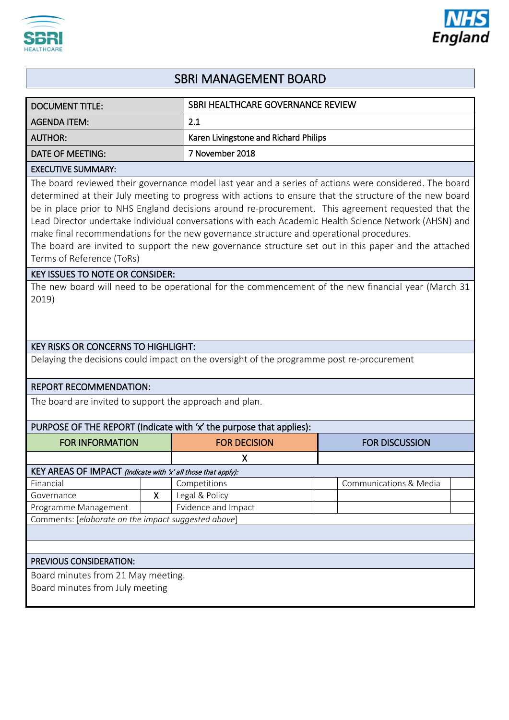



# SBRI MANAGEMENT BOARD

| <b>DOCUMENT TITLE:</b>                                                                                                                                                                                                                                                                                                                                                                                                                                                                                                                                                                                                                                            |   | SBRI HEALTHCARE GOVERNANCE REVIEW     |                        |
|-------------------------------------------------------------------------------------------------------------------------------------------------------------------------------------------------------------------------------------------------------------------------------------------------------------------------------------------------------------------------------------------------------------------------------------------------------------------------------------------------------------------------------------------------------------------------------------------------------------------------------------------------------------------|---|---------------------------------------|------------------------|
| <b>AGENDA ITEM:</b>                                                                                                                                                                                                                                                                                                                                                                                                                                                                                                                                                                                                                                               |   | 2.1                                   |                        |
| <b>AUTHOR:</b>                                                                                                                                                                                                                                                                                                                                                                                                                                                                                                                                                                                                                                                    |   | Karen Livingstone and Richard Philips |                        |
| <b>DATE OF MEETING:</b>                                                                                                                                                                                                                                                                                                                                                                                                                                                                                                                                                                                                                                           |   | 7 November 2018                       |                        |
| <b>EXECUTIVE SUMMARY:</b>                                                                                                                                                                                                                                                                                                                                                                                                                                                                                                                                                                                                                                         |   |                                       |                        |
| The board reviewed their governance model last year and a series of actions were considered. The board<br>determined at their July meeting to progress with actions to ensure that the structure of the new board<br>be in place prior to NHS England decisions around re-procurement. This agreement requested that the<br>Lead Director undertake individual conversations with each Academic Health Science Network (AHSN) and<br>make final recommendations for the new governance structure and operational procedures.<br>The board are invited to support the new governance structure set out in this paper and the attached<br>Terms of Reference (ToRs) |   |                                       |                        |
| <b>KEY ISSUES TO NOTE OR CONSIDER:</b><br>The new board will need to be operational for the commencement of the new financial year (March 31                                                                                                                                                                                                                                                                                                                                                                                                                                                                                                                      |   |                                       |                        |
| 2019)                                                                                                                                                                                                                                                                                                                                                                                                                                                                                                                                                                                                                                                             |   |                                       |                        |
| <b>KEY RISKS OR CONCERNS TO HIGHLIGHT:</b>                                                                                                                                                                                                                                                                                                                                                                                                                                                                                                                                                                                                                        |   |                                       |                        |
| Delaying the decisions could impact on the oversight of the programme post re-procurement                                                                                                                                                                                                                                                                                                                                                                                                                                                                                                                                                                         |   |                                       |                        |
| <b>REPORT RECOMMENDATION:</b>                                                                                                                                                                                                                                                                                                                                                                                                                                                                                                                                                                                                                                     |   |                                       |                        |
| The board are invited to support the approach and plan.                                                                                                                                                                                                                                                                                                                                                                                                                                                                                                                                                                                                           |   |                                       |                        |
| PURPOSE OF THE REPORT (Indicate with 'x' the purpose that applies):                                                                                                                                                                                                                                                                                                                                                                                                                                                                                                                                                                                               |   |                                       |                        |
| <b>FOR INFORMATION</b>                                                                                                                                                                                                                                                                                                                                                                                                                                                                                                                                                                                                                                            |   | <b>FOR DECISION</b>                   | <b>FOR DISCUSSION</b>  |
|                                                                                                                                                                                                                                                                                                                                                                                                                                                                                                                                                                                                                                                                   |   | X                                     |                        |
| KEY AREAS OF IMPACT (Indicate with 'x' all those that apply):                                                                                                                                                                                                                                                                                                                                                                                                                                                                                                                                                                                                     |   |                                       |                        |
| Financial                                                                                                                                                                                                                                                                                                                                                                                                                                                                                                                                                                                                                                                         |   | Competitions                          | Communications & Media |
| Governance                                                                                                                                                                                                                                                                                                                                                                                                                                                                                                                                                                                                                                                        | X | Legal & Policy                        |                        |
| Programme Management                                                                                                                                                                                                                                                                                                                                                                                                                                                                                                                                                                                                                                              |   | Evidence and Impact                   |                        |
| Comments: [elaborate on the impact suggested above]                                                                                                                                                                                                                                                                                                                                                                                                                                                                                                                                                                                                               |   |                                       |                        |
|                                                                                                                                                                                                                                                                                                                                                                                                                                                                                                                                                                                                                                                                   |   |                                       |                        |
|                                                                                                                                                                                                                                                                                                                                                                                                                                                                                                                                                                                                                                                                   |   |                                       |                        |
| PREVIOUS CONSIDERATION:                                                                                                                                                                                                                                                                                                                                                                                                                                                                                                                                                                                                                                           |   |                                       |                        |
| Board minutes from 21 May meeting.<br>Board minutes from July meeting                                                                                                                                                                                                                                                                                                                                                                                                                                                                                                                                                                                             |   |                                       |                        |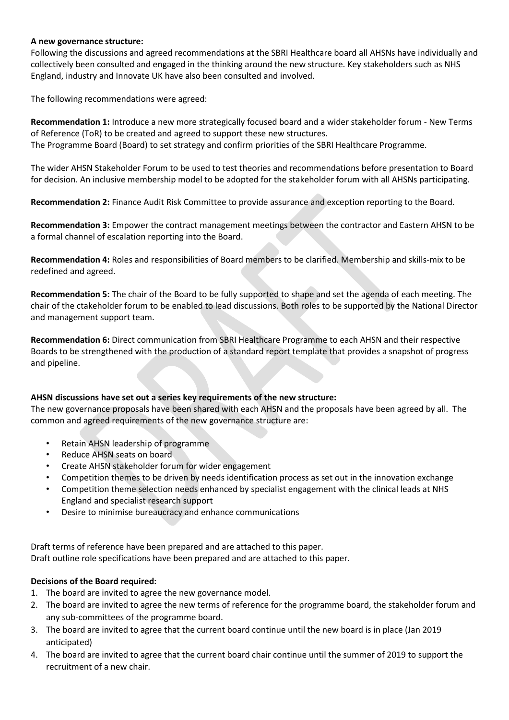#### **A new governance structure:**

Following the discussions and agreed recommendations at the SBRI Healthcare board all AHSNs have individually and collectively been consulted and engaged in the thinking around the new structure. Key stakeholders such as NHS England, industry and Innovate UK have also been consulted and involved.

The following recommendations were agreed:

**Recommendation 1:** Introduce a new more strategically focused board and a wider stakeholder forum - New Terms of Reference (ToR) to be created and agreed to support these new structures. The Programme Board (Board) to set strategy and confirm priorities of the SBRI Healthcare Programme.

The wider AHSN Stakeholder Forum to be used to test theories and recommendations before presentation to Board for decision. An inclusive membership model to be adopted for the stakeholder forum with all AHSNs participating.

**Recommendation 2:** Finance Audit Risk Committee to provide assurance and exception reporting to the Board.

**Recommendation 3:** Empower the contract management meetings between the contractor and Eastern AHSN to be a formal channel of escalation reporting into the Board.

**Recommendation 4:** Roles and responsibilities of Board members to be clarified. Membership and skills-mix to be redefined and agreed.

**Recommendation 5:** The chair of the Board to be fully supported to shape and set the agenda of each meeting. The chair of the ctakeholder forum to be enabled to lead discussions. Both roles to be supported by the National Director and management support team.

**Recommendation 6:** Direct communication from SBRI Healthcare Programme to each AHSN and their respective Boards to be strengthened with the production of a standard report template that provides a snapshot of progress and pipeline.

#### **AHSN discussions have set out a series key requirements of the new structure:**

The new governance proposals have been shared with each AHSN and the proposals have been agreed by all. The common and agreed requirements of the new governance structure are:

- Retain AHSN leadership of programme
- Reduce AHSN seats on board
- Create AHSN stakeholder forum for wider engagement
- Competition themes to be driven by needs identification process as set out in the innovation exchange
- Competition theme selection needs enhanced by specialist engagement with the clinical leads at NHS England and specialist research support
- Desire to minimise bureaucracy and enhance communications

Draft terms of reference have been prepared and are attached to this paper. Draft outline role specifications have been prepared and are attached to this paper.

#### **Decisions of the Board required:**

- 1. The board are invited to agree the new governance model.
- 2. The board are invited to agree the new terms of reference for the programme board, the stakeholder forum and any sub-committees of the programme board.
- 3. The board are invited to agree that the current board continue until the new board is in place (Jan 2019 anticipated)
- 4. The board are invited to agree that the current board chair continue until the summer of 2019 to support the recruitment of a new chair.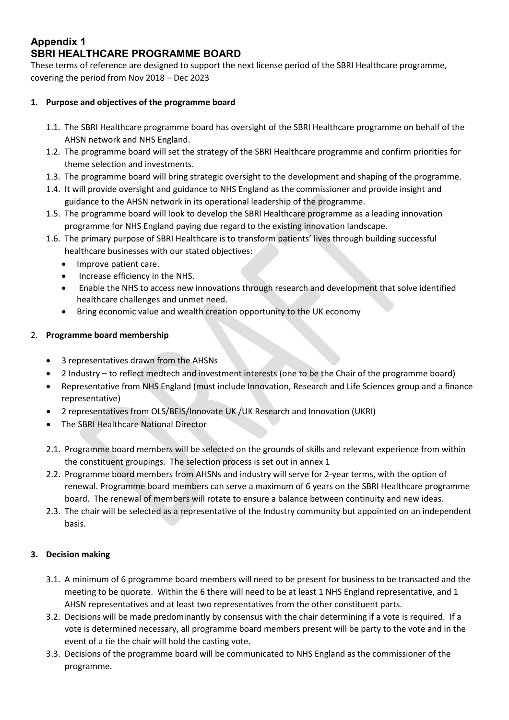# **Appendix 1 SBRI HEALTHCARE PROGRAMME BOARD**

These terms of reference are designed to support the next license period of the SBRI Healthcare programme, covering the period from Nov 2018 – Dec 2023

# **1. Purpose and objectives of the programme board**

- 1.1. The SBRI Healthcare programme board has oversight of the SBRI Healthcare programme on behalf of the AHSN network and NHS England.
- 1.2. The programme board will set the strategy of the SBRI Healthcare programme and confirm priorities for theme selection and investments.
- 1.3. The programme board will bring strategic oversight to the development and shaping of the programme.
- 1.4. It will provide oversight and guidance to NHS England as the commissioner and provide insight and guidance to the AHSN network in its operational leadership of the programme.
- 1.5. The programme board will look to develop the SBRI Healthcare programme as a leading innovation programme for NHS England paying due regard to the existing innovation landscape.
- 1.6. The primary purpose of SBRI Healthcare is to transform patients' lives through building successful healthcare businesses with our stated objectives:
	- Improve patient care.
	- Increase efficiency in the NHS.
	- Enable the NHS to access new innovations through research and development that solve identified healthcare challenges and unmet need.
	- Bring economic value and wealth creation opportunity to the UK economy

# 2. **Programme board membership**

- 3 representatives drawn from the AHSNs
- 2 Industry to reflect medtech and investment interests (one to be the Chair of the programme board)
- Representative from NHS England (must include Innovation, Research and Life Sciences group and a finance representative)
- 2 representatives from OLS/BEIS/Innovate UK /UK Research and Innovation (UKRI)
- The SBRI Healthcare National Director
- 2.1. Programme board members will be selected on the grounds of skills and relevant experience from within the constituent groupings. The selection process is set out in annex 1
- 2.2. Programme board members from AHSNs and industry will serve for 2-year terms, with the option of renewal. Programme board members can serve a maximum of 6 years on the SBRI Healthcare programme board. The renewal of members will rotate to ensure a balance between continuity and new ideas.
- 2.3. The chair will be selected as a representative of the Industry community but appointed on an independent basis.

#### **3. Decision making**

- 3.1. A minimum of 6 programme board members will need to be present for business to be transacted and the meeting to be quorate. Within the 6 there will need to be at least 1 NHS England representative, and 1 AHSN representatives and at least two representatives from the other constituent parts.
- 3.2. Decisions will be made predominantly by consensus with the chair determining if a vote is required. If a vote is determined necessary, all programme board members present will be party to the vote and in the event of a tie the chair will hold the casting vote.
- 3.3. Decisions of the programme board will be communicated to NHS England as the commissioner of the programme.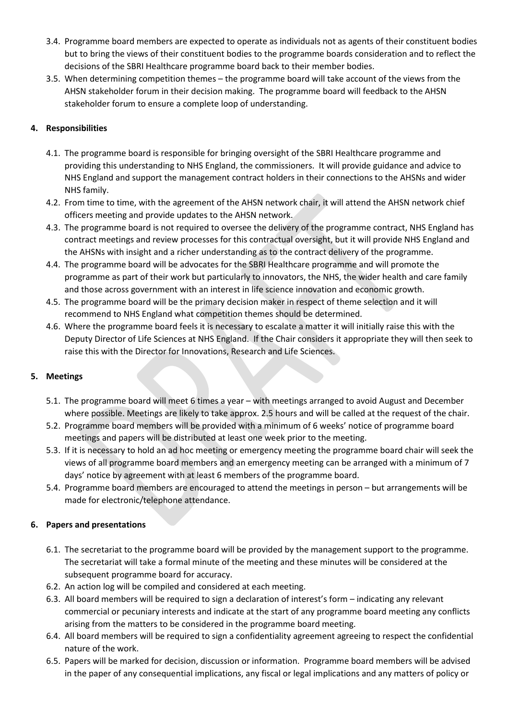- 3.4. Programme board members are expected to operate as individuals not as agents of their constituent bodies but to bring the views of their constituent bodies to the programme boards consideration and to reflect the decisions of the SBRI Healthcare programme board back to their member bodies.
- 3.5. When determining competition themes the programme board will take account of the views from the AHSN stakeholder forum in their decision making. The programme board will feedback to the AHSN stakeholder forum to ensure a complete loop of understanding.

# **4. Responsibilities**

- 4.1. The programme board is responsible for bringing oversight of the SBRI Healthcare programme and providing this understanding to NHS England, the commissioners. It will provide guidance and advice to NHS England and support the management contract holders in their connections to the AHSNs and wider NHS family.
- 4.2. From time to time, with the agreement of the AHSN network chair, it will attend the AHSN network chief officers meeting and provide updates to the AHSN network.
- 4.3. The programme board is not required to oversee the delivery of the programme contract, NHS England has contract meetings and review processes for this contractual oversight, but it will provide NHS England and the AHSNs with insight and a richer understanding as to the contract delivery of the programme.
- 4.4. The programme board will be advocates for the SBRI Healthcare programme and will promote the programme as part of their work but particularly to innovators, the NHS, the wider health and care family and those across government with an interest in life science innovation and economic growth.
- 4.5. The programme board will be the primary decision maker in respect of theme selection and it will recommend to NHS England what competition themes should be determined.
- 4.6. Where the programme board feels it is necessary to escalate a matter it will initially raise this with the Deputy Director of Life Sciences at NHS England. If the Chair considers it appropriate they will then seek to raise this with the Director for Innovations, Research and Life Sciences.

#### **5. Meetings**

- 5.1. The programme board will meet 6 times a year with meetings arranged to avoid August and December where possible. Meetings are likely to take approx. 2.5 hours and will be called at the request of the chair.
- 5.2. Programme board members will be provided with a minimum of 6 weeks' notice of programme board meetings and papers will be distributed at least one week prior to the meeting.
- 5.3. If it is necessary to hold an ad hoc meeting or emergency meeting the programme board chair will seek the views of all programme board members and an emergency meeting can be arranged with a minimum of 7 days' notice by agreement with at least 6 members of the programme board.
- 5.4. Programme board members are encouraged to attend the meetings in person but arrangements will be made for electronic/telephone attendance.

#### **6. Papers and presentations**

- 6.1. The secretariat to the programme board will be provided by the management support to the programme. The secretariat will take a formal minute of the meeting and these minutes will be considered at the subsequent programme board for accuracy.
- 6.2. An action log will be compiled and considered at each meeting.
- 6.3. All board members will be required to sign a declaration of interest's form indicating any relevant commercial or pecuniary interests and indicate at the start of any programme board meeting any conflicts arising from the matters to be considered in the programme board meeting.
- 6.4. All board members will be required to sign a confidentiality agreement agreeing to respect the confidential nature of the work.
- 6.5. Papers will be marked for decision, discussion or information. Programme board members will be advised in the paper of any consequential implications, any fiscal or legal implications and any matters of policy or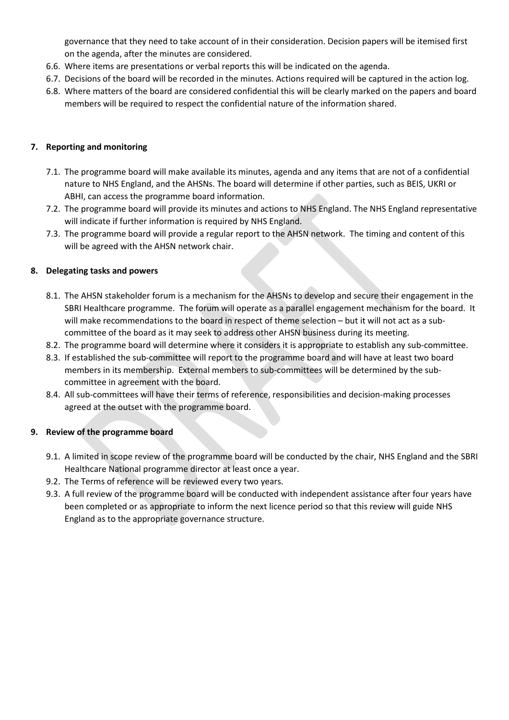governance that they need to take account of in their consideration. Decision papers will be itemised first on the agenda, after the minutes are considered.

- 6.6. Where items are presentations or verbal reports this will be indicated on the agenda.
- 6.7. Decisions of the board will be recorded in the minutes. Actions required will be captured in the action log.
- 6.8. Where matters of the board are considered confidential this will be clearly marked on the papers and board members will be required to respect the confidential nature of the information shared.

#### **7. Reporting and monitoring**

- 7.1. The programme board will make available its minutes, agenda and any items that are not of a confidential nature to NHS England, and the AHSNs. The board will determine if other parties, such as BEIS, UKRI or ABHI, can access the programme board information.
- 7.2. The programme board will provide its minutes and actions to NHS England. The NHS England representative will indicate if further information is required by NHS England.
- 7.3. The programme board will provide a regular report to the AHSN network. The timing and content of this will be agreed with the AHSN network chair.

#### **8. Delegating tasks and powers**

- 8.1. The AHSN stakeholder forum is a mechanism for the AHSNs to develop and secure their engagement in the SBRI Healthcare programme. The forum will operate as a parallel engagement mechanism for the board. It will make recommendations to the board in respect of theme selection – but it will not act as a subcommittee of the board as it may seek to address other AHSN business during its meeting.
- 8.2. The programme board will determine where it considers it is appropriate to establish any sub-committee.
- 8.3. If established the sub-committee will report to the programme board and will have at least two board members in its membership. External members to sub-committees will be determined by the subcommittee in agreement with the board.
- 8.4. All sub-committees will have their terms of reference, responsibilities and decision-making processes agreed at the outset with the programme board.

#### **9. Review of the programme board**

- 9.1. A limited in scope review of the programme board will be conducted by the chair, NHS England and the SBRI Healthcare National programme director at least once a year.
- 9.2. The Terms of reference will be reviewed every two years.
- 9.3. A full review of the programme board will be conducted with independent assistance after four years have been completed or as appropriate to inform the next licence period so that this review will guide NHS England as to the appropriate governance structure.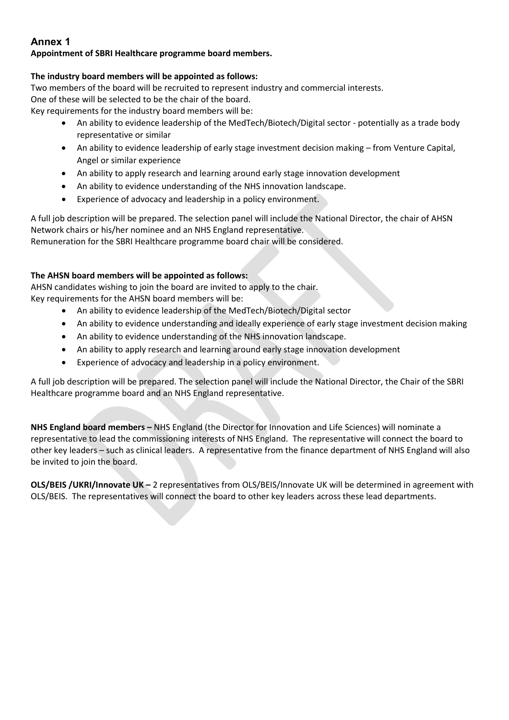# **Annex 1**

# **Appointment of SBRI Healthcare programme board members.**

## **The industry board members will be appointed as follows:**

Two members of the board will be recruited to represent industry and commercial interests. One of these will be selected to be the chair of the board. Key requirements for the industry board members will be:

- An ability to evidence leadership of the MedTech/Biotech/Digital sector potentially as a trade body representative or similar
- An ability to evidence leadership of early stage investment decision making from Venture Capital, Angel or similar experience
- An ability to apply research and learning around early stage innovation development
- An ability to evidence understanding of the NHS innovation landscape.
- Experience of advocacy and leadership in a policy environment.

A full job description will be prepared. The selection panel will include the National Director, the chair of AHSN Network chairs or his/her nominee and an NHS England representative. Remuneration for the SBRI Healthcare programme board chair will be considered.

# **The AHSN board members will be appointed as follows:**

AHSN candidates wishing to join the board are invited to apply to the chair. Key requirements for the AHSN board members will be:

- An ability to evidence leadership of the MedTech/Biotech/Digital sector
- An ability to evidence understanding and ideally experience of early stage investment decision making
- An ability to evidence understanding of the NHS innovation landscape.
- An ability to apply research and learning around early stage innovation development
- Experience of advocacy and leadership in a policy environment.

A full job description will be prepared. The selection panel will include the National Director, the Chair of the SBRI Healthcare programme board and an NHS England representative.

**NHS England board members –** NHS England (the Director for Innovation and Life Sciences) will nominate a representative to lead the commissioning interests of NHS England. The representative will connect the board to other key leaders – such as clinical leaders. A representative from the finance department of NHS England will also be invited to join the board.

**OLS/BEIS /UKRI/Innovate UK –** 2 representatives from OLS/BEIS/Innovate UK will be determined in agreement with OLS/BEIS. The representatives will connect the board to other key leaders across these lead departments.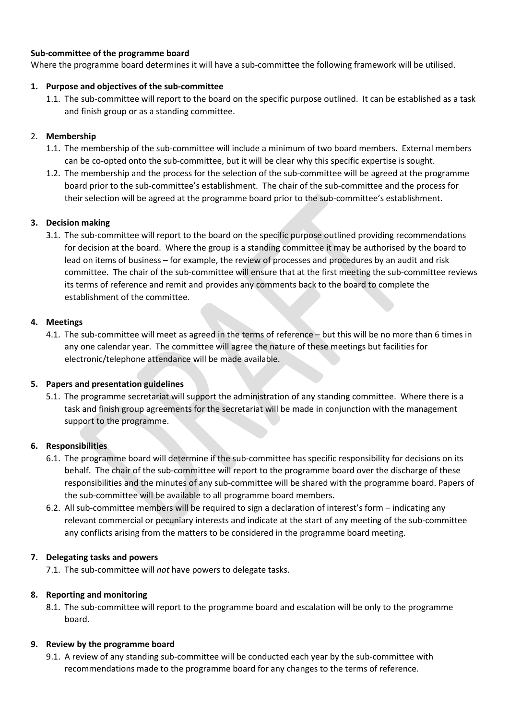#### **Sub-committee of the programme board**

Where the programme board determines it will have a sub-committee the following framework will be utilised.

#### **1. Purpose and objectives of the sub-committee**

1.1. The sub-committee will report to the board on the specific purpose outlined. It can be established as a task and finish group or as a standing committee.

#### 2. **Membership**

- 1.1. The membership of the sub-committee will include a minimum of two board members. External members can be co-opted onto the sub-committee, but it will be clear why this specific expertise is sought.
- 1.2. The membership and the process for the selection of the sub-committee will be agreed at the programme board prior to the sub-committee's establishment. The chair of the sub-committee and the process for their selection will be agreed at the programme board prior to the sub-committee's establishment.

#### **3. Decision making**

3.1. The sub-committee will report to the board on the specific purpose outlined providing recommendations for decision at the board. Where the group is a standing committee it may be authorised by the board to lead on items of business – for example, the review of processes and procedures by an audit and risk committee. The chair of the sub-committee will ensure that at the first meeting the sub-committee reviews its terms of reference and remit and provides any comments back to the board to complete the establishment of the committee.

#### **4. Meetings**

4.1. The sub-committee will meet as agreed in the terms of reference – but this will be no more than 6 times in any one calendar year. The committee will agree the nature of these meetings but facilities for electronic/telephone attendance will be made available.

#### **5. Papers and presentation guidelines**

5.1. The programme secretariat will support the administration of any standing committee. Where there is a task and finish group agreements for the secretariat will be made in conjunction with the management support to the programme.

#### **6. Responsibilities**

- 6.1. The programme board will determine if the sub-committee has specific responsibility for decisions on its behalf. The chair of the sub-committee will report to the programme board over the discharge of these responsibilities and the minutes of any sub-committee will be shared with the programme board. Papers of the sub-committee will be available to all programme board members.
- 6.2. All sub-committee members will be required to sign a declaration of interest's form indicating any relevant commercial or pecuniary interests and indicate at the start of any meeting of the sub-committee any conflicts arising from the matters to be considered in the programme board meeting.

#### **7. Delegating tasks and powers**

7.1. The sub-committee will *not* have powers to delegate tasks.

#### **8. Reporting and monitoring**

8.1. The sub-committee will report to the programme board and escalation will be only to the programme board.

#### **9. Review by the programme board**

9.1. A review of any standing sub-committee will be conducted each year by the sub-committee with recommendations made to the programme board for any changes to the terms of reference.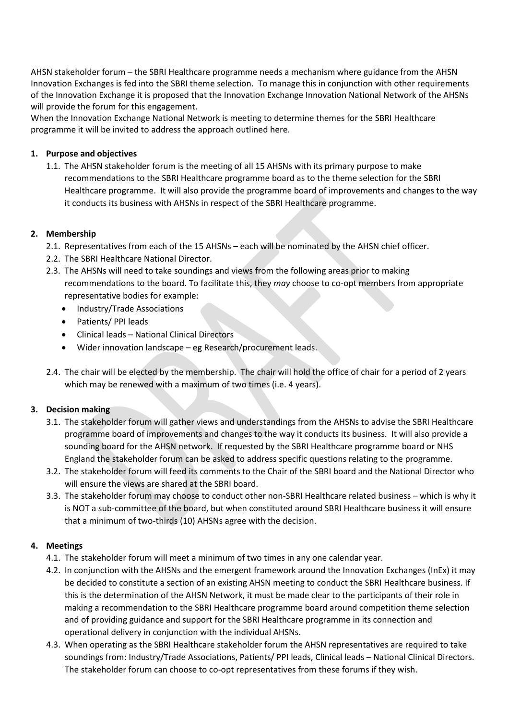AHSN stakeholder forum – the SBRI Healthcare programme needs a mechanism where guidance from the AHSN Innovation Exchanges is fed into the SBRI theme selection. To manage this in conjunction with other requirements of the Innovation Exchange it is proposed that the Innovation Exchange Innovation National Network of the AHSNs will provide the forum for this engagement.

When the Innovation Exchange National Network is meeting to determine themes for the SBRI Healthcare programme it will be invited to address the approach outlined here.

## **1. Purpose and objectives**

1.1. The AHSN stakeholder forum is the meeting of all 15 AHSNs with its primary purpose to make recommendations to the SBRI Healthcare programme board as to the theme selection for the SBRI Healthcare programme. It will also provide the programme board of improvements and changes to the way it conducts its business with AHSNs in respect of the SBRI Healthcare programme.

# **2. Membership**

- 2.1. Representatives from each of the 15 AHSNs each will be nominated by the AHSN chief officer.
- 2.2. The SBRI Healthcare National Director.
- 2.3. The AHSNs will need to take soundings and views from the following areas prior to making recommendations to the board. To facilitate this, they *may* choose to co-opt members from appropriate representative bodies for example:
	- Industry/Trade Associations
	- Patients/ PPI leads
	- Clinical leads National Clinical Directors
	- Wider innovation landscape eg Research/procurement leads.
- 2.4. The chair will be elected by the membership. The chair will hold the office of chair for a period of 2 years which may be renewed with a maximum of two times (i.e. 4 years).

#### **3. Decision making**

- 3.1. The stakeholder forum will gather views and understandings from the AHSNs to advise the SBRI Healthcare programme board of improvements and changes to the way it conducts its business. It will also provide a sounding board for the AHSN network. If requested by the SBRI Healthcare programme board or NHS England the stakeholder forum can be asked to address specific questions relating to the programme.
- 3.2. The stakeholder forum will feed its comments to the Chair of the SBRI board and the National Director who will ensure the views are shared at the SBRI board.
- 3.3. The stakeholder forum may choose to conduct other non-SBRI Healthcare related business which is why it is NOT a sub-committee of the board, but when constituted around SBRI Healthcare business it will ensure that a minimum of two-thirds (10) AHSNs agree with the decision.

#### **4. Meetings**

- 4.1. The stakeholder forum will meet a minimum of two times in any one calendar year.
- 4.2. In conjunction with the AHSNs and the emergent framework around the Innovation Exchanges (InEx) it may be decided to constitute a section of an existing AHSN meeting to conduct the SBRI Healthcare business. If this is the determination of the AHSN Network, it must be made clear to the participants of their role in making a recommendation to the SBRI Healthcare programme board around competition theme selection and of providing guidance and support for the SBRI Healthcare programme in its connection and operational delivery in conjunction with the individual AHSNs.
- 4.3. When operating as the SBRI Healthcare stakeholder forum the AHSN representatives are required to take soundings from: Industry/Trade Associations, Patients/ PPI leads, Clinical leads – National Clinical Directors. The stakeholder forum can choose to co-opt representatives from these forums if they wish.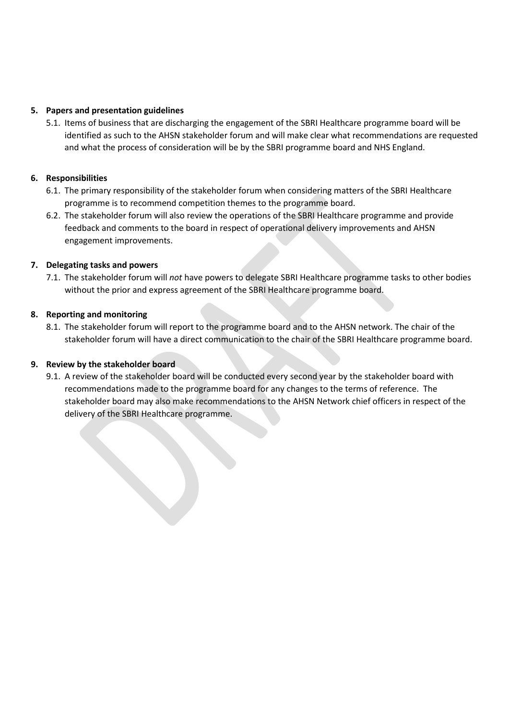#### **5. Papers and presentation guidelines**

5.1. Items of business that are discharging the engagement of the SBRI Healthcare programme board will be identified as such to the AHSN stakeholder forum and will make clear what recommendations are requested and what the process of consideration will be by the SBRI programme board and NHS England.

#### **6. Responsibilities**

- 6.1. The primary responsibility of the stakeholder forum when considering matters of the SBRI Healthcare programme is to recommend competition themes to the programme board.
- 6.2. The stakeholder forum will also review the operations of the SBRI Healthcare programme and provide feedback and comments to the board in respect of operational delivery improvements and AHSN engagement improvements.

#### **7. Delegating tasks and powers**

7.1. The stakeholder forum will *not* have powers to delegate SBRI Healthcare programme tasks to other bodies without the prior and express agreement of the SBRI Healthcare programme board.

#### **8. Reporting and monitoring**

8.1. The stakeholder forum will report to the programme board and to the AHSN network. The chair of the stakeholder forum will have a direct communication to the chair of the SBRI Healthcare programme board.

#### **9. Review by the stakeholder board**

9.1. A review of the stakeholder board will be conducted every second year by the stakeholder board with recommendations made to the programme board for any changes to the terms of reference. The stakeholder board may also make recommendations to the AHSN Network chief officers in respect of the delivery of the SBRI Healthcare programme.